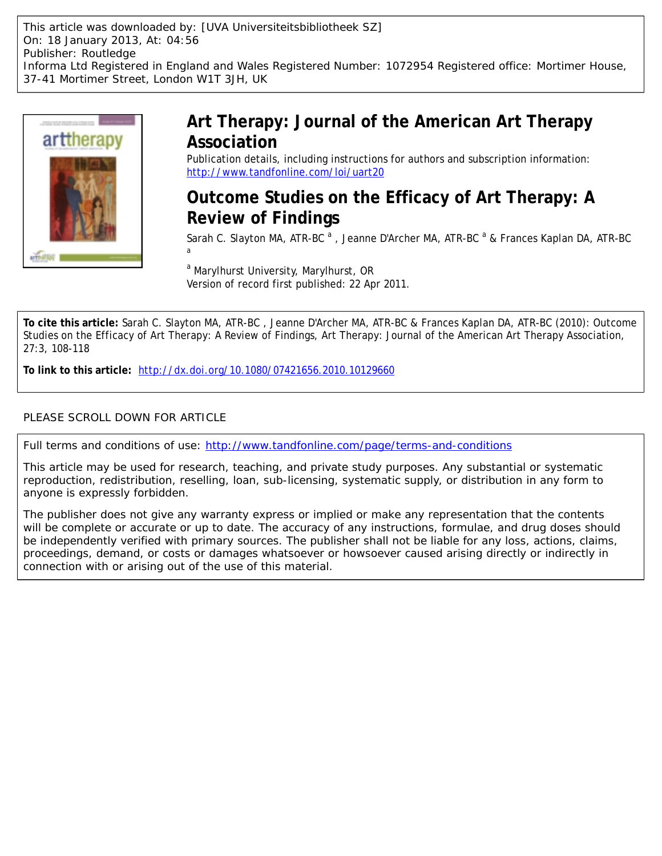This article was downloaded by: [UVA Universiteitsbibliotheek SZ] On: 18 January 2013, At: 04:56 Publisher: Routledge Informa Ltd Registered in England and Wales Registered Number: 1072954 Registered office: Mortimer House, 37-41 Mortimer Street, London W1T 3JH, UK



# **Art Therapy: Journal of the American Art Therapy Association**

Publication details, including instructions for authors and subscription information: <http://www.tandfonline.com/loi/uart20>

# **Outcome Studies on the Efficacy of Art Therapy: A Review of Findings**

Sarah C. Slayton MA, ATR-BC <sup>a</sup>, Jeanne D'Archer MA, ATR-BC <sup>a</sup> & Frances Kaplan DA, ATR-BC a

<sup>a</sup> Marylhurst University, Marylhurst, OR Version of record first published: 22 Apr 2011.

**To cite this article:** Sarah C. Slayton MA, ATR-BC , Jeanne D'Archer MA, ATR-BC & Frances Kaplan DA, ATR-BC (2010): Outcome Studies on the Efficacy of Art Therapy: A Review of Findings, Art Therapy: Journal of the American Art Therapy Association, 27:3, 108-118

**To link to this article:** <http://dx.doi.org/10.1080/07421656.2010.10129660>

## PLEASE SCROLL DOWN FOR ARTICLE

Full terms and conditions of use:<http://www.tandfonline.com/page/terms-and-conditions>

This article may be used for research, teaching, and private study purposes. Any substantial or systematic reproduction, redistribution, reselling, loan, sub-licensing, systematic supply, or distribution in any form to anyone is expressly forbidden.

The publisher does not give any warranty express or implied or make any representation that the contents will be complete or accurate or up to date. The accuracy of any instructions, formulae, and drug doses should be independently verified with primary sources. The publisher shall not be liable for any loss, actions, claims, proceedings, demand, or costs or damages whatsoever or howsoever caused arising directly or indirectly in connection with or arising out of the use of this material.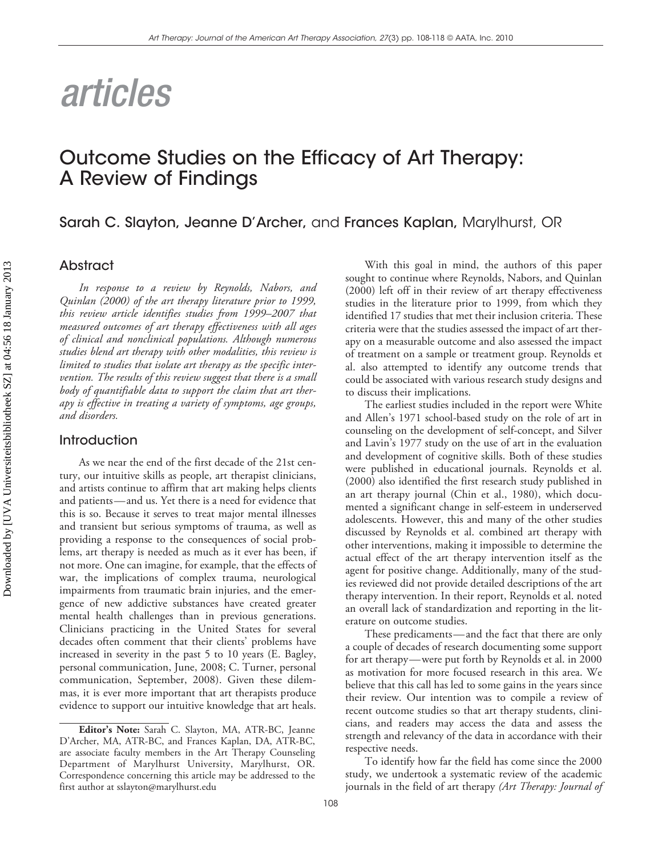# *articles*

# Outcome Studies on the Efficacy of Art Therapy: A Review of Findings

Sarah C. Slayton, Jeanne D'Archer, and Frances Kaplan, Marylhurst, OR

#### Abstract

*In response to a review by Reynolds, Nabors, and Quinlan (2000) of the art therapy literature prior to 1999, this review article identifies studies from 1999–2007 that measured outcomes of art therapy effectiveness with all ages of clinical and nonclinical populations. Although numerous studies blend art therapy with other modalities, this review is limited to studies that isolate art therapy as the specific intervention. The results of this review suggest that there is a small body of quantifiable data to support the claim that art therapy is effective in treating a variety of symptoms, age groups, and disorders.* 

## **Introduction**

As we near the end of the first decade of the 21st century, our intuitive skills as people, art therapist clinicians, and artists continue to affirm that art making helps clients and patients—and us. Yet there is a need for evidence that this is so. Because it serves to treat major mental illnesses and transient but serious symptoms of trauma, as well as providing a response to the consequences of social problems, art therapy is needed as much as it ever has been, if not more. One can imagine, for example, that the effects of war, the implications of complex trauma, neurological impairments from traumatic brain injuries, and the emergence of new addictive substances have created greater mental health challenges than in previous generations. Clinicians practicing in the United States for several decades often comment that their clients' problems have increased in severity in the past 5 to 10 years (E. Bagley, personal communication, June, 2008; C. Turner, personal communication, September, 2008). Given these dilemmas, it is ever more important that art therapists produce evidence to support our intuitive knowledge that art heals.

With this goal in mind, the authors of this paper sought to continue where Reynolds, Nabors, and Quinlan (2000) left off in their review of art therapy effectiveness studies in the literature prior to 1999, from which they identified 17 studies that met their inclusion criteria. These criteria were that the studies assessed the impact of art therapy on a measurable outcome and also assessed the impact of treatment on a sample or treatment group. Reynolds et al. also attempted to identify any outcome trends that could be associated with various research study designs and to discuss their implications.

The earliest studies included in the report were White and Allen's 1971 school-based study on the role of art in counseling on the development of self-concept, and Silver and Lavin's 1977 study on the use of art in the evaluation and development of cognitive skills. Both of these studies were published in educational journals. Reynolds et al. (2000) also identified the first research study published in an art therapy journal (Chin et al., 1980), which documented a significant change in self-esteem in underserved adolescents. However, this and many of the other studies discussed by Reynolds et al. combined art therapy with other interventions, making it impossible to determine the actual effect of the art therapy intervention itself as the agent for positive change. Additionally, many of the studies reviewed did not provide detailed descriptions of the art therapy intervention. In their report, Reynolds et al. noted an overall lack of standardization and reporting in the literature on outcome studies.

These predicaments—and the fact that there are only a couple of decades of research documenting some support for art therapy—were put forth by Reynolds et al. in 2000 as motivation for more focused research in this area. We believe that this call has led to some gains in the years since their review. Our intention was to compile a review of recent outcome studies so that art therapy students, clinicians, and readers may access the data and assess the strength and relevancy of the data in accordance with their respective needs.

To identify how far the field has come since the 2000 study, we undertook a systematic review of the academic journals in the field of art therapy *(Art Therapy: Journal of*

108

**Editor's Note:** Sarah C. Slayton, MA, ATR-BC, Jeanne D'Archer, MA, ATR-BC, and Frances Kaplan, DA, ATR-BC, are associate faculty members in the Art Therapy Counseling Department of Marylhurst University, Marylhurst, OR. Correspondence concerning this article may be addressed to the first author at sslayton@marylhurst.edu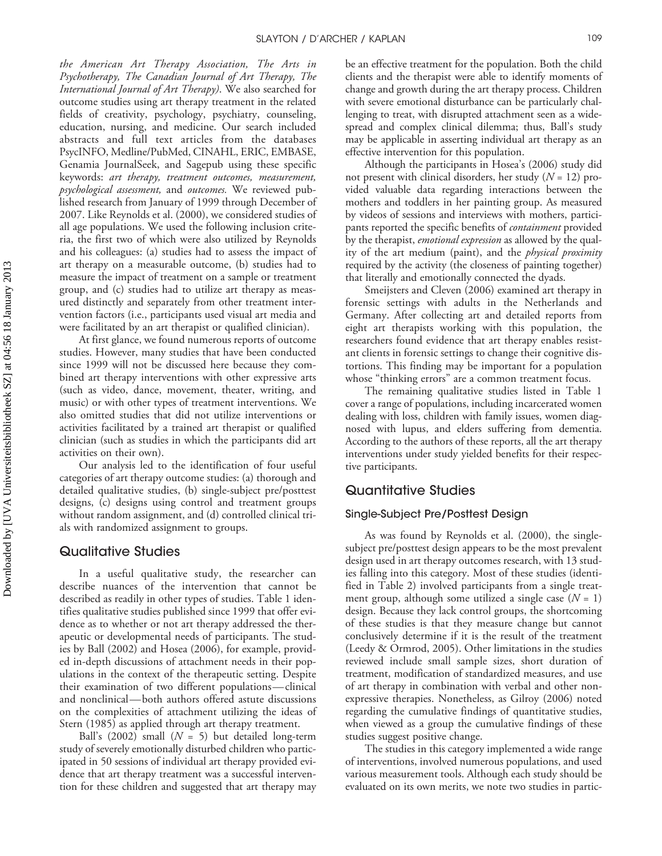*the American Art Therapy Association, The Arts in Psychotherapy, The Canadian Journal of Art Therapy, The International Journal of Art Therapy)*. We also searched for outcome studies using art therapy treatment in the related fields of creativity, psychology, psychiatry, counseling, education, nursing, and medicine. Our search included abstracts and full text articles from the databases PsycINFO, Medline/PubMed, CINAHL, ERIC, EMBASE, Genamia JournalSeek, and Sagepub using these specific keywords: *art therapy, treatment outcomes, measurement, psychological assessment,* and *outcomes.* We reviewed published research from January of 1999 through December of 2007. Like Reynolds et al. (2000), we considered studies of all age populations. We used the following inclusion criteria, the first two of which were also utilized by Reynolds and his colleagues: (a) studies had to assess the impact of art therapy on a measurable outcome, (b) studies had to measure the impact of treatment on a sample or treatment group, and (c) studies had to utilize art therapy as measured distinctly and separately from other treatment intervention factors (i.e., participants used visual art media and were facilitated by an art therapist or qualified clinician).

At first glance, we found numerous reports of outcome studies. However, many studies that have been conducted since 1999 will not be discussed here because they combined art therapy interventions with other expressive arts (such as video, dance, movement, theater, writing, and music) or with other types of treatment interventions. We also omitted studies that did not utilize interventions or activities facilitated by a trained art therapist or qualified clinician (such as studies in which the participants did art activities on their own).

Our analysis led to the identification of four useful categories of art therapy outcome studies: (a) thorough and detailed qualitative studies, (b) single-subject pre/posttest designs, (c) designs using control and treatment groups without random assignment, and (d) controlled clinical trials with randomized assignment to groups.

## Qualitative Studies

In a useful qualitative study, the researcher can describe nuances of the intervention that cannot be described as readily in other types of studies. Table 1 identifies qualitative studies published since 1999 that offer evidence as to whether or not art therapy addressed the therapeutic or developmental needs of participants. The studies by Ball (2002) and Hosea (2006), for example, provided in-depth discussions of attachment needs in their populations in the context of the therapeutic setting. Despite their examination of two different populations—clinical and nonclinical—both authors offered astute discussions on the complexities of attachment utilizing the ideas of Stern (1985) as applied through art therapy treatment.

Ball's (2002) small (*N* = 5) but detailed long-term study of severely emotionally disturbed children who participated in 50 sessions of individual art therapy provided evidence that art therapy treatment was a successful intervention for these children and suggested that art therapy may be an effective treatment for the population. Both the child clients and the therapist were able to identify moments of change and growth during the art therapy process. Children with severe emotional disturbance can be particularly challenging to treat, with disrupted attachment seen as a widespread and complex clinical dilemma; thus, Ball's study may be applicable in asserting individual art therapy as an effective intervention for this population.

Although the participants in Hosea's (2006) study did not present with clinical disorders, her study (*N* = 12) provided valuable data regarding interactions between the mothers and toddlers in her painting group. As measured by videos of sessions and interviews with mothers, participants reported the specific benefits of *containment* provided by the therapist, *emotional expression* as allowed by the quality of the art medium (paint), and the *physical proximity* required by the activity (the closeness of painting together) that literally and emotionally connected the dyads.

Smeijsters and Cleven (2006) examined art therapy in forensic settings with adults in the Netherlands and Germany. After collecting art and detailed reports from eight art therapists working with this population, the researchers found evidence that art therapy enables resistant clients in forensic settings to change their cognitive distortions. This finding may be important for a population whose "thinking errors" are a common treatment focus.

The remaining qualitative studies listed in Table 1 cover a range of populations, including incarcerated women dealing with loss, children with family issues, women diagnosed with lupus, and elders suffering from dementia. According to the authors of these reports, all the art therapy interventions under study yielded benefits for their respective participants.

#### Quantitative Studies

#### Single-Subject Pre/Posttest Design

As was found by Reynolds et al. (2000), the singlesubject pre/posttest design appears to be the most prevalent design used in art therapy outcomes research, with 13 studies falling into this category. Most of these studies (identified in Table 2) involved participants from a single treatment group, although some utilized a single case (*N* = 1) design. Because they lack control groups, the shortcoming of these studies is that they measure change but cannot conclusively determine if it is the result of the treatment (Leedy & Ormrod, 2005). Other limitations in the studies reviewed include small sample sizes, short duration of treatment, modification of standardized measures, and use of art therapy in combination with verbal and other nonexpressive therapies. Nonetheless, as Gilroy (2006) noted regarding the cumulative findings of quantitative studies, when viewed as a group the cumulative findings of these studies suggest positive change.

The studies in this category implemented a wide range of interventions, involved numerous populations, and used various measurement tools. Although each study should be evaluated on its own merits, we note two studies in partic-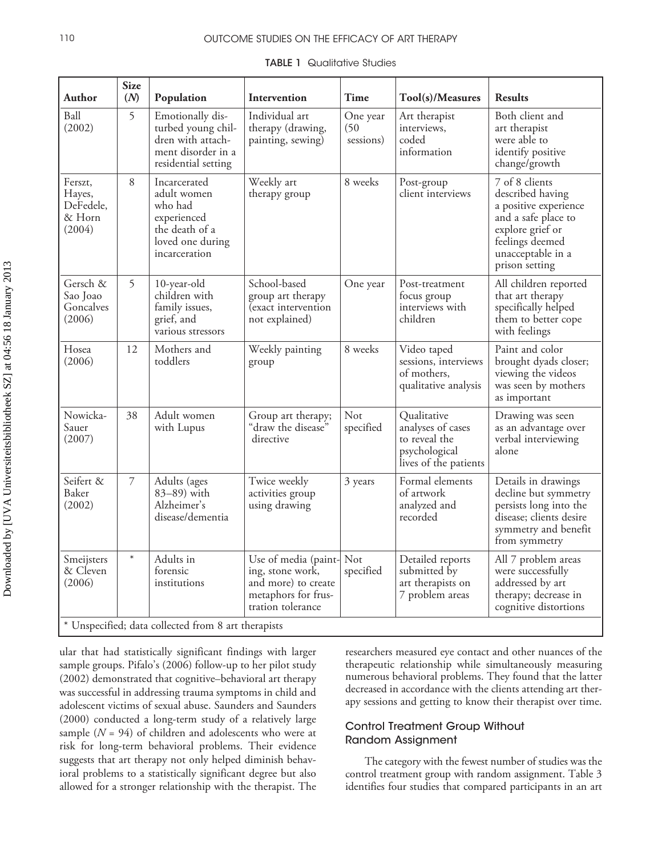#### 110 **OUTCOME STUDIES ON THE EFFICACY OF ART THERAPY**

| Author                                              | <b>Size</b><br>(N) | Population                                                                                                   | Intervention                                                                                                    | Time                          | Tool(s)/Measures                                                                            | <b>Results</b>                                                                                                                                                   |  |
|-----------------------------------------------------|--------------------|--------------------------------------------------------------------------------------------------------------|-----------------------------------------------------------------------------------------------------------------|-------------------------------|---------------------------------------------------------------------------------------------|------------------------------------------------------------------------------------------------------------------------------------------------------------------|--|
| Ball<br>(2002)                                      | 5                  | Emotionally dis-<br>turbed young chil-<br>dren with attach-<br>ment disorder in a<br>residential setting     | Individual art<br>therapy (drawing,<br>painting, sewing)                                                        | One year<br>(50)<br>sessions) | Art therapist<br>interviews,<br>coded<br>information                                        | Both client and<br>art therapist<br>were able to<br>identify positive<br>change/growth                                                                           |  |
| Ferszt,<br>Hayes,<br>DeFedele,<br>& Horn<br>(2004)  | 8                  | Incarcerated<br>adult women<br>who had<br>experienced<br>the death of a<br>loved one during<br>incarceration | Weekly art<br>therapy group                                                                                     | 8 weeks                       | Post-group<br>client interviews                                                             | 7 of 8 clients<br>described having<br>a positive experience<br>and a safe place to<br>explore grief or<br>feelings deemed<br>unacceptable in a<br>prison setting |  |
| Gersch &<br>Sao Joao<br>Goncalves<br>(2006)         | 5                  | 10-year-old<br>children with<br>family issues,<br>grief, and<br>various stressors                            | School-based<br>group art therapy<br>(exact intervention<br>not explained)                                      | One year                      | Post-treatment<br>focus group<br>interviews with<br>children                                | All children reported<br>that art therapy<br>specifically helped<br>them to better cope<br>with feelings                                                         |  |
| Hosea<br>(2006)                                     | 12                 | Mothers and<br>toddlers                                                                                      | Weekly painting<br>group                                                                                        | 8 weeks                       | Video taped<br>sessions, interviews<br>of mothers,<br>qualitative analysis                  | Paint and color<br>brought dyads closer;<br>viewing the videos<br>was seen by mothers<br>as important                                                            |  |
| Nowicka-<br>Sauer<br>(2007)                         | 38                 | Adult women<br>with Lupus                                                                                    | Group art therapy;<br>"draw the disease"<br>directive                                                           | Not<br>specified              | Qualitative<br>analyses of cases<br>to reveal the<br>psychological<br>lives of the patients | Drawing was seen<br>as an advantage over<br>verbal interviewing<br>alone                                                                                         |  |
| Seifert &<br>Baker<br>(2002)                        | $\overline{7}$     | Adults (ages<br>83-89) with<br>Alzheimer's<br>disease/dementia                                               | Twice weekly<br>activities group<br>using drawing                                                               | 3 years                       | Formal elements<br>of artwork<br>analyzed and<br>recorded                                   | Details in drawings<br>decline but symmetry<br>persists long into the<br>disease; clients desire<br>symmetry and benefit<br>from symmetry                        |  |
| Smeijsters<br>& Cleven<br>(2006)                    | $\ast$             | Adults in<br>forensic<br>institutions                                                                        | Use of media (paint- Not<br>ing, stone work,<br>and more) to create<br>metaphors for frus-<br>tration tolerance | specified                     | Detailed reports<br>submitted by<br>art therapists on<br>7 problem areas                    | All 7 problem areas<br>were successfully<br>addressed by art<br>therapy; decrease in<br>cognitive distortions                                                    |  |
| * Unspecified; data collected from 8 art therapists |                    |                                                                                                              |                                                                                                                 |                               |                                                                                             |                                                                                                                                                                  |  |

**TABLE 1** Qualitative Studies

ular that had statistically significant findings with larger sample groups. Pifalo's (2006) follow-up to her pilot study (2002) demonstrated that cognitive–behavioral art therapy was successful in addressing trauma symptoms in child and adolescent victims of sexual abuse. Saunders and Saunders (2000) conducted a long-term study of a relatively large sample  $(N = 94)$  of children and adolescents who were at risk for long-term behavioral problems. Their evidence suggests that art therapy not only helped diminish behavioral problems to a statistically significant degree but also allowed for a stronger relationship with the therapist. The researchers measured eye contact and other nuances of the therapeutic relationship while simultaneously measuring numerous behavioral problems. They found that the latter decreased in accordance with the clients attending art therapy sessions and getting to know their therapist over time.

#### Control Treatment Group Without Random Assignment

The category with the fewest number of studies was the control treatment group with random assignment. Table 3 identifies four studies that compared participants in an art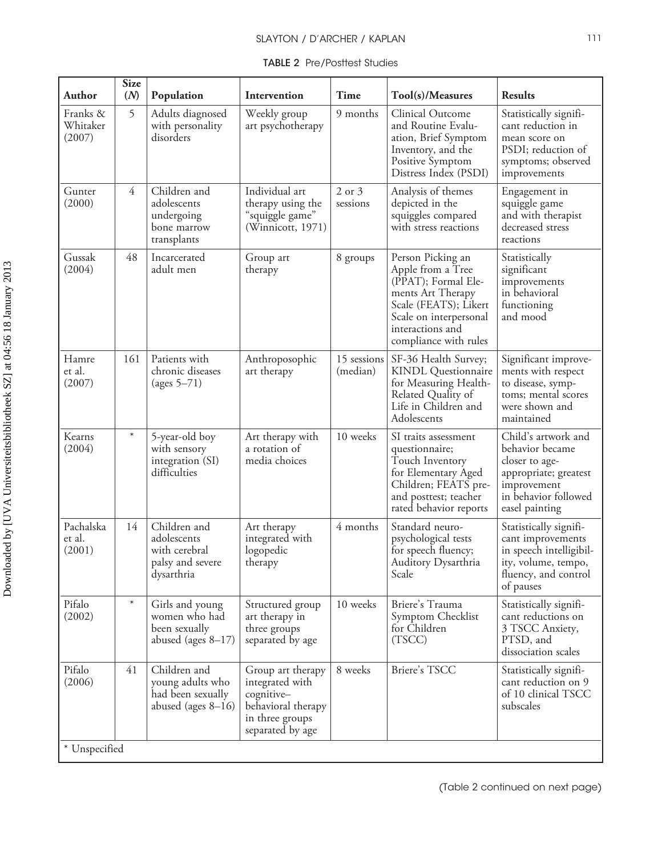|  | <b>TABLE 2 Pre/Postlest Studies</b> |  |
|--|-------------------------------------|--|
|--|-------------------------------------|--|

| <b>Author</b>                     | <b>Size</b><br>(N) | Population                                                                     | Intervention                                                                                                    | Time                    | Tool(s)/Measures                                                                                                                                                                   | <b>Results</b>                                                                                                                             |
|-----------------------------------|--------------------|--------------------------------------------------------------------------------|-----------------------------------------------------------------------------------------------------------------|-------------------------|------------------------------------------------------------------------------------------------------------------------------------------------------------------------------------|--------------------------------------------------------------------------------------------------------------------------------------------|
| Franks &<br>Whitaker<br>(2007)    | 5                  | Adults diagnosed<br>with personality<br>disorders                              | Weekly group<br>art psychotherapy                                                                               | 9 months                | Clinical Outcome<br>and Routine Evalu-<br>ation, Brief Symptom<br>Inventory, and the<br>Positive Symptom<br>Distress Index (PSDI)                                                  | Statistically signifi-<br>cant reduction in<br>mean score on<br>PSDI; reduction of<br>symptoms; observed<br>improvements                   |
| Gunter<br>(2000)                  | 4                  | Children and<br>adolescents<br>undergoing<br>bone marrow<br>transplants        | Individual art<br>therapy using the<br>"squiggle game"<br>(Winnicott, 1971)                                     | 2 or 3<br>sessions      | Analysis of themes<br>depicted in the<br>squiggles compared<br>with stress reactions                                                                                               | Engagement in<br>squiggle game<br>and with therapist<br>decreased stress<br>reactions                                                      |
| Gussak<br>(2004)                  | 48                 | Incarcerated<br>adult men                                                      | Group art<br>therapy                                                                                            | 8 groups                | Person Picking an<br>Apple from a Tree<br>(PPAT); Formal Ele-<br>ments Art Therapy<br>Scale (FEATS); Likert<br>Scale on interpersonal<br>interactions and<br>compliance with rules | Statistically<br>significant<br>improvements<br>in behavioral<br>functioning<br>and mood                                                   |
| Hamre<br>et al.<br>(2007)         | 161                | Patients with<br>chronic diseases<br>(ages $5-71$ )                            | Anthroposophic<br>art therapy                                                                                   | 15 sessions<br>(median) | SF-36 Health Survey;<br><b>KINDL</b> Questionnaire<br>for Measuring Health-<br>Related Quality of<br>Life in Children and<br>Adolescents                                           | Significant improve-<br>ments with respect<br>to disease, symp-<br>toms; mental scores<br>were shown and<br>maintained                     |
| Kearns<br>(2004)                  | $\ast$             | 5-year-old boy<br>with sensory<br>integration (SI)<br>difficulties             | Art therapy with<br>a rotation of<br>media choices                                                              | 10 weeks                | SI traits assessment<br>questionnaire;<br>Touch Inventory<br>for Elementary Aged<br>Children; FEATS pre-<br>and posttest; teacher<br>rated behavior reports                        | Child's artwork and<br>behavior became<br>closer to age-<br>appropriate; greatest<br>improvement<br>in behavior followed<br>easel painting |
| Pachalska<br>et al.<br>(2001)     | 14                 | Children and<br>adolescents<br>with cerebral<br>palsy and severe<br>dysarthria | Art therapy<br>integrated with<br>logopedic<br>therapy                                                          | 4 months                | Standard neuro-<br>psychological tests<br>for speech fluency;<br>Auditory Dysarthria<br>Scale                                                                                      | Statistically signifi-<br>cant improvements<br>in speech intelligibil-<br>ity, volume, tempo,<br>fluency, and control<br>of pauses         |
| Pifalo<br>(2002)                  | $\ast$             | Girls and young<br>women who had<br>been sexually<br>abused (ages $8-17$ )     | Structured group<br>art therapy in<br>three groups<br>separated by age                                          | 10 weeks                | Briere's Trauma<br>Symptom Checklist<br>for Children<br>(TSCC)                                                                                                                     | Statistically signifi-<br>cant reductions on<br>3 TSCC Anxiety,<br>PTSD, and<br>dissociation scales                                        |
| Pifalo<br>(2006)<br>* Unspecified | 41                 | Children and<br>young adults who<br>had been sexually<br>abused (ages $8-16$ ) | Group art therapy<br>integrated with<br>cognitive-<br>behavioral therapy<br>in three groups<br>separated by age | 8 weeks                 | Briere's TSCC                                                                                                                                                                      | Statistically signifi-<br>cant reduction on 9<br>of 10 clinical TSCC<br>subscales                                                          |
|                                   |                    |                                                                                |                                                                                                                 |                         |                                                                                                                                                                                    |                                                                                                                                            |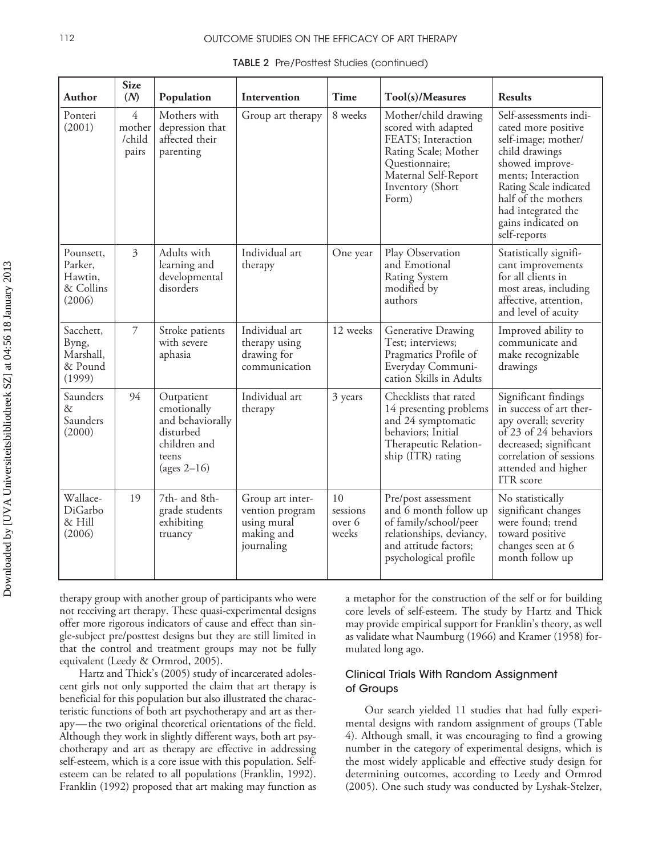#### 112 **OUTCOME STUDIES ON THE EFFICACY OF ART THERAPY**

| Author                                                 | <b>Size</b><br>(N)                          | Population                                                                                            | Intervention                                                                   | Time                              | Tool(s)/Measures                                                                                                                                                 | <b>Results</b>                                                                                                                                                                                                                               |
|--------------------------------------------------------|---------------------------------------------|-------------------------------------------------------------------------------------------------------|--------------------------------------------------------------------------------|-----------------------------------|------------------------------------------------------------------------------------------------------------------------------------------------------------------|----------------------------------------------------------------------------------------------------------------------------------------------------------------------------------------------------------------------------------------------|
| Ponteri<br>(2001)                                      | $\overline{4}$<br>mother<br>/child<br>pairs | Mothers with<br>depression that<br>affected their<br>parenting                                        | Group art therapy                                                              | 8 weeks                           | Mother/child drawing<br>scored with adapted<br>FEATS; Interaction<br>Rating Scale; Mother<br>Questionnaire;<br>Maternal Self-Report<br>Inventory (Short<br>Form) | Self-assessments indi-<br>cated more positive<br>self-image; mother/<br>child drawings<br>showed improve-<br>ments; Interaction<br>Rating Scale indicated<br>half of the mothers<br>had integrated the<br>gains indicated on<br>self-reports |
| Pounsett,<br>Parker,<br>Hawtin,<br>& Collins<br>(2006) | $\mathfrak{Z}$                              | Adults with<br>learning and<br>developmental<br>disorders                                             | Individual art<br>therapy                                                      | One year                          | Play Observation<br>and Emotional<br><b>Rating System</b><br>modified by<br>authors                                                                              | Statistically signifi-<br>cant improvements<br>for all clients in<br>most areas, including<br>affective, attention,<br>and level of acuity                                                                                                   |
| Sacchett,<br>Byng,<br>Marshall,<br>& Pound<br>(1999)   | $\overline{7}$                              | Stroke patients<br>with severe<br>aphasia                                                             | Individual art<br>therapy using<br>drawing for<br>communication                | 12 weeks                          | Generative Drawing<br>Test; interviews;<br>Pragmatics Profile of<br>Everyday Communi-<br>cation Skills in Adults                                                 | Improved ability to<br>communicate and<br>make recognizable<br>drawings                                                                                                                                                                      |
| Saunders<br>&<br>Saunders<br>(2000)                    | 94                                          | Outpatient<br>emotionally<br>and behaviorally<br>disturbed<br>children and<br>teens<br>(ages $2-16$ ) | Individual art<br>therapy                                                      | 3 years                           | Checklists that rated<br>14 presenting problems<br>and 24 symptomatic<br>behaviors; Initial<br>Therapeutic Relation-<br>ship (ITR) rating                        | Significant findings<br>in success of art ther-<br>apy overall; severity<br>of 23 of 24 behaviors<br>decreased; significant<br>correlation of sessions<br>attended and higher<br>ITR score                                                   |
| Wallace-<br>DiGarbo<br>& Hill<br>(2006)                | 19                                          | 7th- and 8th-<br>grade students<br>exhibiting<br>truancy                                              | Group art inter-<br>vention program<br>using mural<br>making and<br>journaling | 10<br>sessions<br>over 6<br>weeks | Pre/post assessment<br>and 6 month follow up<br>of family/school/peer<br>relationships, deviancy,<br>and attitude factors;<br>psychological profile              | No statistically<br>significant changes<br>were found; trend<br>toward positive<br>changes seen at 6<br>month follow up                                                                                                                      |

TABLE 2 Pre/Posttest Studies (continued)

therapy group with another group of participants who were not receiving art therapy. These quasi-experimental designs offer more rigorous indicators of cause and effect than single-subject pre/posttest designs but they are still limited in that the control and treatment groups may not be fully equivalent (Leedy & Ormrod, 2005).

Hartz and Thick's (2005) study of incarcerated adolescent girls not only supported the claim that art therapy is beneficial for this population but also illustrated the characteristic functions of both art psychotherapy and art as therapy—the two original theoretical orientations of the field. Although they work in slightly different ways, both art psychotherapy and art as therapy are effective in addressing self-esteem, which is a core issue with this population. Selfesteem can be related to all populations (Franklin, 1992). Franklin (1992) proposed that art making may function as a metaphor for the construction of the self or for building core levels of self-esteem. The study by Hartz and Thick may provide empirical support for Franklin's theory, as well as validate what Naumburg (1966) and Kramer (1958) formulated long ago.

#### Clinical Trials With Random Assignment of Groups

Our search yielded 11 studies that had fully experimental designs with random assignment of groups (Table 4). Although small, it was encouraging to find a growing number in the category of experimental designs, which is the most widely applicable and effective study design for determining outcomes, according to Leedy and Ormrod (2005). One such study was conducted by Lyshak-Stelzer,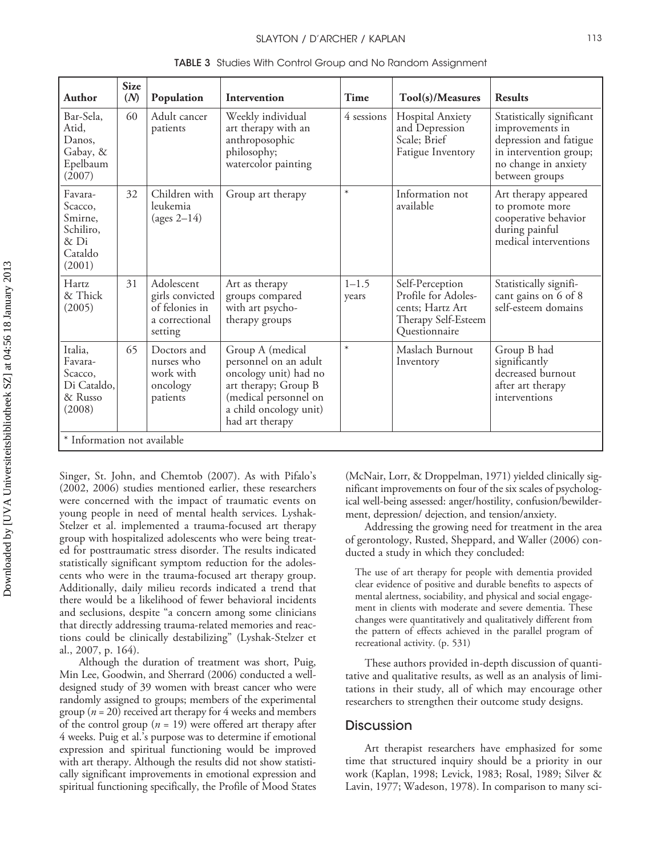|                                                                         | <b>Size</b> |                                                                              |                                                                                                                                                                  |                    |                                                                                                    |                                                                                                                                            |
|-------------------------------------------------------------------------|-------------|------------------------------------------------------------------------------|------------------------------------------------------------------------------------------------------------------------------------------------------------------|--------------------|----------------------------------------------------------------------------------------------------|--------------------------------------------------------------------------------------------------------------------------------------------|
| Author                                                                  | (N)         | Population                                                                   | Intervention                                                                                                                                                     | Time               | Tool(s)/Measures                                                                                   | <b>Results</b>                                                                                                                             |
| Bar-Sela,<br>Atid,<br>Danos,<br>Gabay, &<br>Epelbaum<br>(2007)          | 60          | Adult cancer<br>patients                                                     | Weekly individual<br>art therapy with an<br>anthroposophic<br>philosophy;<br>watercolor painting                                                                 | 4 sessions         | Hospital Anxiety<br>and Depression<br>Scale; Brief<br>Fatigue Inventory                            | Statistically significant<br>improvements in<br>depression and fatigue<br>in intervention group;<br>no change in anxiety<br>between groups |
| Favara-<br>Scacco,<br>Smirne,<br>Schiliro,<br>& Di<br>Cataldo<br>(2001) | 32          | Children with<br>leukemia<br>(ages $2-14$ )                                  | Group art therapy                                                                                                                                                | $\ast$             | Information not<br>available                                                                       | Art therapy appeared<br>to promote more<br>cooperative behavior<br>during painful<br>medical interventions                                 |
| Hartz<br>& Thick<br>(2005)                                              | 31          | Adolescent<br>girls convicted<br>of felonies in<br>a correctional<br>setting | Art as therapy<br>groups compared<br>with art psycho-<br>therapy groups                                                                                          | $1 - 1.5$<br>years | Self-Perception<br>Profile for Adoles-<br>cents; Hartz Art<br>Therapy Self-Esteem<br>Questionnaire | Statistically signifi-<br>cant gains on 6 of 8<br>self-esteem domains                                                                      |
| Italia,<br>Favara-<br>Scacco,<br>Di Cataldo,<br>& Russo<br>(2008)       | 65          | Doctors and<br>nurses who<br>work with<br>oncology<br>patients               | Group A (medical<br>personnel on an adult<br>oncology unit) had no<br>art therapy; Group B<br>(medical personnel on<br>a child oncology unit)<br>had art therapy | $\ast$             | Maslach Burnout<br>Inventory                                                                       | Group B had<br>significantly<br>decreased burnout<br>after art therapy<br>interventions                                                    |
| * Information not available                                             |             |                                                                              |                                                                                                                                                                  |                    |                                                                                                    |                                                                                                                                            |

TABLE 3 Studies With Control Group and No Random Assignment

Singer, St. John, and Chemtob (2007). As with Pifalo's (2002, 2006) studies mentioned earlier, these researchers were concerned with the impact of traumatic events on young people in need of mental health services. Lyshak-Stelzer et al. implemented a trauma-focused art therapy group with hospitalized adolescents who were being treated for posttraumatic stress disorder. The results indicated statistically significant symptom reduction for the adolescents who were in the trauma-focused art therapy group. Additionally, daily milieu records indicated a trend that there would be a likelihood of fewer behavioral incidents and seclusions, despite "a concern among some clinicians that directly addressing trauma-related memories and reactions could be clinically destabilizing" (Lyshak-Stelzer et al., 2007, p. 164).

Although the duration of treatment was short, Puig, Min Lee, Goodwin, and Sherrard (2006) conducted a welldesigned study of 39 women with breast cancer who were randomly assigned to groups; members of the experimental group ( $n = 20$ ) received art therapy for 4 weeks and members of the control group (*n* = 19) were offered art therapy after 4 weeks. Puig et al.'s purpose was to determine if emotional expression and spiritual functioning would be improved with art therapy. Although the results did not show statistically significant improvements in emotional expression and spiritual functioning specifically, the Profile of Mood States

(McNair, Lorr, & Droppelman, 1971) yielded clinically significant improvements on four of the six scales of psychological well-being assessed: anger/hostility, confusion/bewilderment, depression/ dejection, and tension/anxiety.

Addressing the growing need for treatment in the area of gerontology, Rusted, Sheppard, and Waller (2006) conducted a study in which they concluded:

The use of art therapy for people with dementia provided clear evidence of positive and durable benefits to aspects of mental alertness, sociability, and physical and social engagement in clients with moderate and severe dementia. These changes were quantitatively and qualitatively different from the pattern of effects achieved in the parallel program of recreational activity. (p. 531)

These authors provided in-depth discussion of quantitative and qualitative results, as well as an analysis of limitations in their study, all of which may encourage other researchers to strengthen their outcome study designs.

#### Discussion

Art therapist researchers have emphasized for some time that structured inquiry should be a priority in our work (Kaplan, 1998; Levick, 1983; Rosal, 1989; Silver & Lavin, 1977; Wadeson, 1978). In comparison to many sci-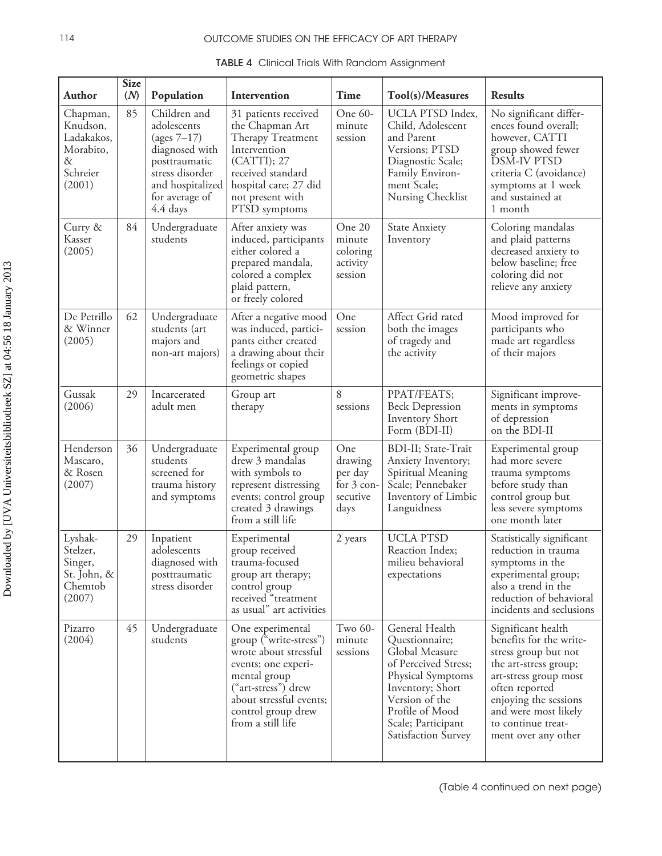## 114 OUTCOME STUDIES ON THE EFFICACY OF ART THERAPY

| Author                                                                        | <b>Size</b><br>(M) | Population                                                                                                                                            | Intervention                                                                                                                                                                                            | <b>Time</b>                                                   | Tool(s)/Measures                                                                                                                                                                                      | <b>Results</b>                                                                                                                                                                                                                          |
|-------------------------------------------------------------------------------|--------------------|-------------------------------------------------------------------------------------------------------------------------------------------------------|---------------------------------------------------------------------------------------------------------------------------------------------------------------------------------------------------------|---------------------------------------------------------------|-------------------------------------------------------------------------------------------------------------------------------------------------------------------------------------------------------|-----------------------------------------------------------------------------------------------------------------------------------------------------------------------------------------------------------------------------------------|
| Chapman,<br>Knudson,<br>Ladakakos,<br>Morabito,<br>$\&$<br>Schreier<br>(2001) | 85                 | Children and<br>adolescents<br>(ages $7-17$ )<br>diagnosed with<br>posttraumatic<br>stress disorder<br>and hospitalized<br>for average of<br>4.4 days | 31 patients received<br>the Chapman Art<br>Therapy Treatment<br>Intervention<br>(CATTI); 27<br>received standard<br>hospital care; 27 did<br>not present with<br>PTSD symptoms                          | One 60-<br>minute<br>session                                  | UCLA PTSD Index,<br>Child, Adolescent<br>and Parent<br>Versions; PTSD<br>Diagnostic Scale;<br>Family Environ-<br>ment Scale;<br>Nursing Checklist                                                     | No significant differ-<br>ences found overall;<br>however, CATTI<br>group showed fewer<br><b>DSM-IV PTSD</b><br>criteria C (avoidance)<br>symptoms at 1 week<br>and sustained at<br>1 month                                             |
| Curry &<br>Kasser<br>(2005)                                                   | 84                 | Undergraduate<br>students                                                                                                                             | After anxiety was<br>induced, participants<br>either colored a<br>prepared mandala,<br>colored a complex<br>plaid pattern,<br>or freely colored                                                         | One 20<br>minute<br>coloring<br>activity<br>session           | <b>State Anxiety</b><br>Inventory                                                                                                                                                                     | Coloring mandalas<br>and plaid patterns<br>decreased anxiety to<br>below baseline; free<br>coloring did not<br>relieve any anxiety                                                                                                      |
| De Petrillo<br>& Winner<br>(2005)                                             | 62                 | Undergraduate<br>students (art<br>majors and<br>non-art majors)                                                                                       | After a negative mood<br>was induced, partici-<br>pants either created<br>a drawing about their<br>feelings or copied<br>geometric shapes                                                               | One<br>session                                                | Affect Grid rated<br>both the images<br>of tragedy and<br>the activity                                                                                                                                | Mood improved for<br>participants who<br>made art regardless<br>of their majors                                                                                                                                                         |
| Gussak<br>(2006)                                                              | 29                 | Incarcerated<br>adult men                                                                                                                             | Group art<br>therapy                                                                                                                                                                                    | 8<br>sessions                                                 | PPAT/FEATS;<br><b>Beck Depression</b><br>Inventory Short<br>Form (BDI-II)                                                                                                                             | Significant improve-<br>ments in symptoms<br>of depression<br>on the BDI-II                                                                                                                                                             |
| Henderson<br>Mascaro,<br>& Rosen<br>(2007)                                    | 36                 | Undergraduate<br>students<br>screened for<br>trauma history<br>and symptoms                                                                           | Experimental group<br>drew 3 mandalas<br>with symbols to<br>represent distressing<br>events; control group<br>created 3 drawings<br>from a still life                                                   | One<br>drawing<br>per day<br>for $3$ con-<br>secutive<br>days | BDI-II; State-Trait<br>Anxiety Inventory;<br>Spiritual Meaning<br>Scale; Pennebaker<br>Inventory of Limbic<br>Languidness                                                                             | Experimental group<br>had more severe<br>trauma symptoms<br>before study than<br>control group but<br>less severe symptoms<br>one month later                                                                                           |
| Lyshak-<br>Stelzer,<br>Singer,<br>St. John, &<br>Chemtob<br>(2007)            | 29                 | Inpatient<br>adolescents<br>diagnosed with<br>posttraumatic<br>stress disorder                                                                        | Experimental<br>group received<br>trauma-focused<br>group art therapy;<br>control group<br>received "treatment<br>as usual" art activities                                                              | 2 years                                                       | <b>UCLA PTSD</b><br>Reaction Index;<br>milieu behavioral<br>expectations                                                                                                                              | Statistically significant<br>reduction in trauma<br>symptoms in the<br>experimental group;<br>also a trend in the<br>reduction of behavioral<br>incidents and seclusions                                                                |
| Pizarro<br>(2004)                                                             | 45                 | Undergraduate<br>students                                                                                                                             | One experimental<br>group ("write-stress")<br>wrote about stressful<br>events; one experi-<br>mental group<br>("art-stress") drew<br>about stressful events;<br>control group drew<br>from a still life | Two 60-<br>minute<br>sessions                                 | General Health<br>Questionnaire;<br>Global Measure<br>of Perceived Stress;<br>Physical Symptoms<br>Inventory; Short<br>Version of the<br>Profile of Mood<br>Scale; Participant<br>Satisfaction Survey | Significant health<br>benefits for the write-<br>stress group but not<br>the art-stress group;<br>art-stress group most<br>often reported<br>enjoying the sessions<br>and were most likely<br>to continue treat-<br>ment over any other |

|  |  | <b>TABLE 4</b> Clinical Trials With Random Assignment |  |
|--|--|-------------------------------------------------------|--|
|  |  |                                                       |  |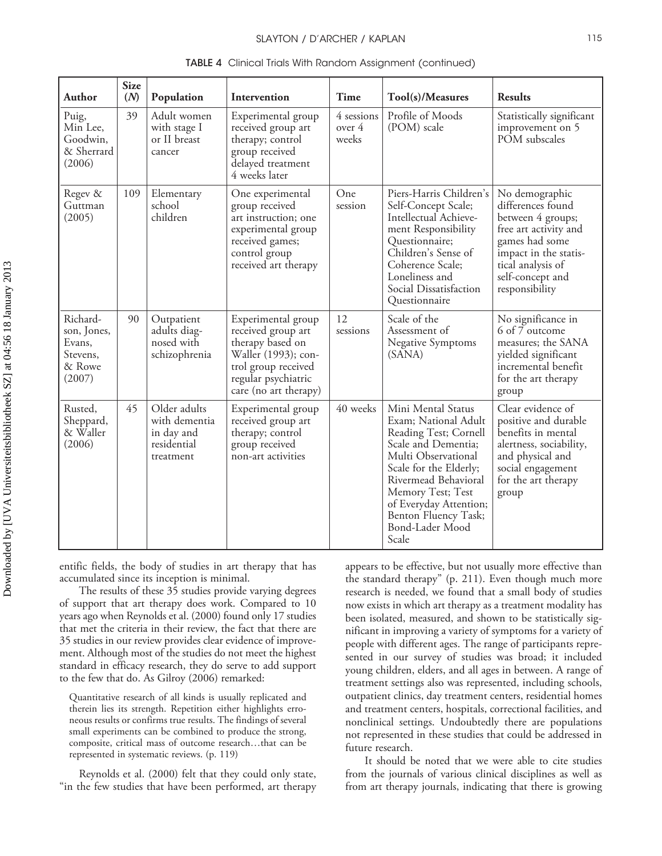| Author                                                            | <b>Size</b><br>(N) | Population                                                              | Intervention                                                                                                                                               | Time                          | Tool(s)/Measures                                                                                                                                                                                                                                                       | <b>Results</b>                                                                                                                                                                          |
|-------------------------------------------------------------------|--------------------|-------------------------------------------------------------------------|------------------------------------------------------------------------------------------------------------------------------------------------------------|-------------------------------|------------------------------------------------------------------------------------------------------------------------------------------------------------------------------------------------------------------------------------------------------------------------|-----------------------------------------------------------------------------------------------------------------------------------------------------------------------------------------|
| Puig,<br>Min Lee,<br>Goodwin,<br>& Sherrard<br>(2006)             | 39                 | Adult women<br>with stage I<br>or II breast<br>cancer                   | Experimental group<br>received group art<br>therapy; control<br>group received<br>delayed treatment<br>4 weeks later                                       | 4 sessions<br>over 4<br>weeks | Profile of Moods<br>(POM) scale                                                                                                                                                                                                                                        | Statistically significant<br>improvement on 5<br>POM subscales                                                                                                                          |
| Regev &<br>Guttman<br>(2005)                                      | 109                | Elementary<br>school<br>children                                        | One experimental<br>group received<br>art instruction; one<br>experimental group<br>received games;<br>control group<br>received art therapy               | One<br>session                | Piers-Harris Children's<br>Self-Concept Scale;<br>Intellectual Achieve-<br>ment Responsibility<br>Questionnaire;<br>Children's Sense of<br>Coherence Scale;<br>Loneliness and<br>Social Dissatisfaction<br>Questionnaire                                               | No demographic<br>differences found<br>between 4 groups;<br>free art activity and<br>games had some<br>impact in the statis-<br>tical analysis of<br>self-concept and<br>responsibility |
| Richard-<br>son, Jones,<br>Evans,<br>Stevens,<br>& Rowe<br>(2007) | 90                 | Outpatient<br>adults diag-<br>nosed with<br>schizophrenia               | Experimental group<br>received group art<br>therapy based on<br>Waller (1993); con-<br>trol group received<br>regular psychiatric<br>care (no art therapy) | 12<br>sessions                | Scale of the<br>Assessment of<br><b>Negative Symptoms</b><br>(SANA)                                                                                                                                                                                                    | No significance in<br>6 of 7 outcome<br>measures; the SANA<br>yielded significant<br>incremental benefit<br>for the art therapy<br>group                                                |
| Rusted,<br>Sheppard,<br>& Waller<br>(2006)                        | 45                 | Older adults<br>with dementia<br>in day and<br>residential<br>treatment | Experimental group<br>received group art<br>therapy; control<br>group received<br>non-art activities                                                       | 40 weeks                      | Mini Mental Status<br>Exam; National Adult<br>Reading Test; Cornell<br>Scale and Dementia;<br>Multi Observational<br>Scale for the Elderly;<br>Rivermead Behavioral<br>Memory Test; Test<br>of Everyday Attention;<br>Benton Fluency Task;<br>Bond-Lader Mood<br>Scale | Clear evidence of<br>positive and durable<br>benefits in mental<br>alertness, sociability,<br>and physical and<br>social engagement<br>for the art therapy<br>group                     |

TABLE 4 Clinical Trials With Random Assignment (continued)

entific fields, the body of studies in art therapy that has accumulated since its inception is minimal.

The results of these 35 studies provide varying degrees of support that art therapy does work. Compared to 10 years ago when Reynolds et al. (2000) found only 17 studies that met the criteria in their review, the fact that there are 35 studies in our review provides clear evidence of improvement. Although most of the studies do not meet the highest standard in efficacy research, they do serve to add support to the few that do. As Gilroy (2006) remarked:

Quantitative research of all kinds is usually replicated and therein lies its strength. Repetition either highlights erroneous results or confirms true results. The findings of several small experiments can be combined to produce the strong, composite, critical mass of outcome research…that can be represented in systematic reviews. (p. 119)

Reynolds et al. (2000) felt that they could only state, "in the few studies that have been performed, art therapy appears to be effective, but not usually more effective than the standard therapy" (p. 211). Even though much more research is needed, we found that a small body of studies now exists in which art therapy as a treatment modality has been isolated, measured, and shown to be statistically significant in improving a variety of symptoms for a variety of people with different ages. The range of participants represented in our survey of studies was broad; it included young children, elders, and all ages in between. A range of treatment settings also was represented, including schools, outpatient clinics, day treatment centers, residential homes and treatment centers, hospitals, correctional facilities, and nonclinical settings. Undoubtedly there are populations not represented in these studies that could be addressed in future research.

It should be noted that we were able to cite studies from the journals of various clinical disciplines as well as from art therapy journals, indicating that there is growing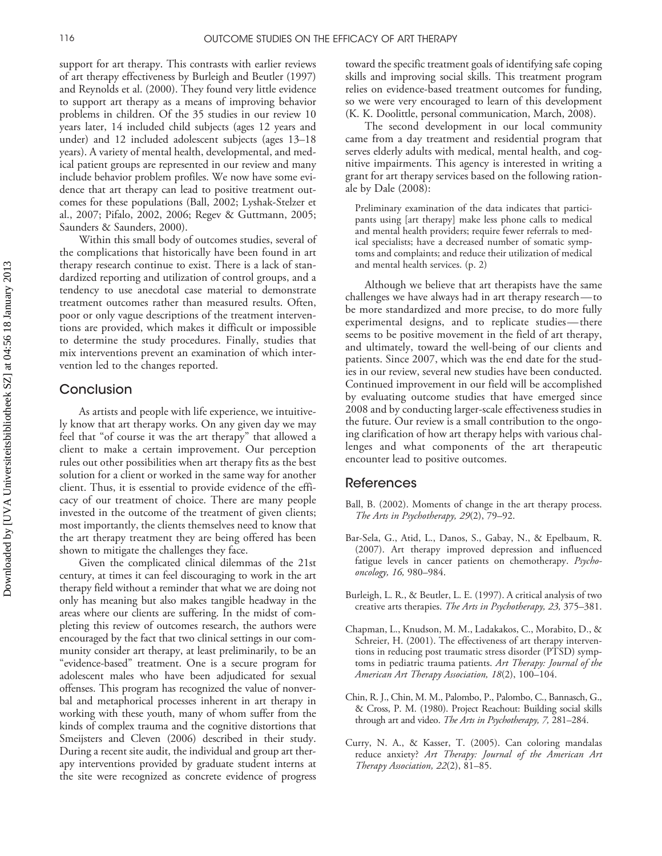support for art therapy. This contrasts with earlier reviews of art therapy effectiveness by Burleigh and Beutler (1997) and Reynolds et al. (2000). They found very little evidence to support art therapy as a means of improving behavior problems in children. Of the 35 studies in our review 10 years later, 14 included child subjects (ages 12 years and under) and 12 included adolescent subjects (ages 13–18 years). A variety of mental health, developmental, and medical patient groups are represented in our review and many include behavior problem profiles. We now have some evidence that art therapy can lead to positive treatment outcomes for these populations (Ball, 2002; Lyshak-Stelzer et al., 2007; Pifalo, 2002, 2006; Regev & Guttmann, 2005; Saunders & Saunders, 2000).

Within this small body of outcomes studies, several of the complications that historically have been found in art therapy research continue to exist. There is a lack of standardized reporting and utilization of control groups, and a tendency to use anecdotal case material to demonstrate treatment outcomes rather than measured results. Often, poor or only vague descriptions of the treatment interventions are provided, which makes it difficult or impossible to determine the study procedures. Finally, studies that mix interventions prevent an examination of which intervention led to the changes reported.

#### Conclusion

As artists and people with life experience, we intuitively know that art therapy works. On any given day we may feel that "of course it was the art therapy" that allowed a client to make a certain improvement. Our perception rules out other possibilities when art therapy fits as the best solution for a client or worked in the same way for another client. Thus, it is essential to provide evidence of the efficacy of our treatment of choice. There are many people invested in the outcome of the treatment of given clients; most importantly, the clients themselves need to know that the art therapy treatment they are being offered has been shown to mitigate the challenges they face.

Given the complicated clinical dilemmas of the 21st century, at times it can feel discouraging to work in the art therapy field without a reminder that what we are doing not only has meaning but also makes tangible headway in the areas where our clients are suffering. In the midst of completing this review of outcomes research, the authors were encouraged by the fact that two clinical settings in our community consider art therapy, at least preliminarily, to be an "evidence-based" treatment. One is a secure program for adolescent males who have been adjudicated for sexual offenses. This program has recognized the value of nonverbal and metaphorical processes inherent in art therapy in working with these youth, many of whom suffer from the kinds of complex trauma and the cognitive distortions that Smeijsters and Cleven (2006) described in their study. During a recent site audit, the individual and group art therapy interventions provided by graduate student interns at the site were recognized as concrete evidence of progress

toward the specific treatment goals of identifying safe coping skills and improving social skills. This treatment program relies on evidence-based treatment outcomes for funding, so we were very encouraged to learn of this development (K. K. Doolittle, personal communication, March, 2008).

The second development in our local community came from a day treatment and residential program that serves elderly adults with medical, mental health, and cognitive impairments. This agency is interested in writing a grant for art therapy services based on the following rationale by Dale (2008):

Preliminary examination of the data indicates that participants using [art therapy] make less phone calls to medical and mental health providers; require fewer referrals to medical specialists; have a decreased number of somatic symptoms and complaints; and reduce their utilization of medical and mental health services. (p. 2)

Although we believe that art therapists have the same challenges we have always had in art therapy research—to be more standardized and more precise, to do more fully experimental designs, and to replicate studies—there seems to be positive movement in the field of art therapy, and ultimately, toward the well-being of our clients and patients. Since 2007, which was the end date for the studies in our review, several new studies have been conducted. Continued improvement in our field will be accomplished by evaluating outcome studies that have emerged since 2008 and by conducting larger-scale effectiveness studies in the future. Our review is a small contribution to the ongoing clarification of how art therapy helps with various challenges and what components of the art therapeutic encounter lead to positive outcomes.

#### References

- Ball, B. (2002). Moments of change in the art therapy process. *The Arts in Psychotherapy, 29*(2), 79–92.
- Bar-Sela, G., Atid, L., Danos, S., Gabay, N., & Epelbaum, R. (2007). Art therapy improved depression and influenced fatigue levels in cancer patients on chemotherapy. *Psychooncology, 16,* 980–984.
- Burleigh, L. R., & Beutler, L. E. (1997). A critical analysis of two creative arts therapies. *The Arts in Psychotherapy, 23,* 375–381.
- Chapman, L., Knudson, M. M., Ladakakos, C., Morabito, D., & Schreier, H. (2001). The effectiveness of art therapy interventions in reducing post traumatic stress disorder (PTSD) symptoms in pediatric trauma patients. *Art Therapy: Journal of the American Art Therapy Association, 18*(2), 100–104.
- Chin, R. J., Chin, M. M., Palombo, P., Palombo, C., Bannasch, G., & Cross, P. M. (1980). Project Reachout: Building social skills through art and video. *The Arts in Psychotherapy, 7,* 281–284.
- Curry, N. A., & Kasser, T. (2005). Can coloring mandalas reduce anxiety? *Art Therapy: Journal of the American Art Therapy Association, 22*(2), 81–85.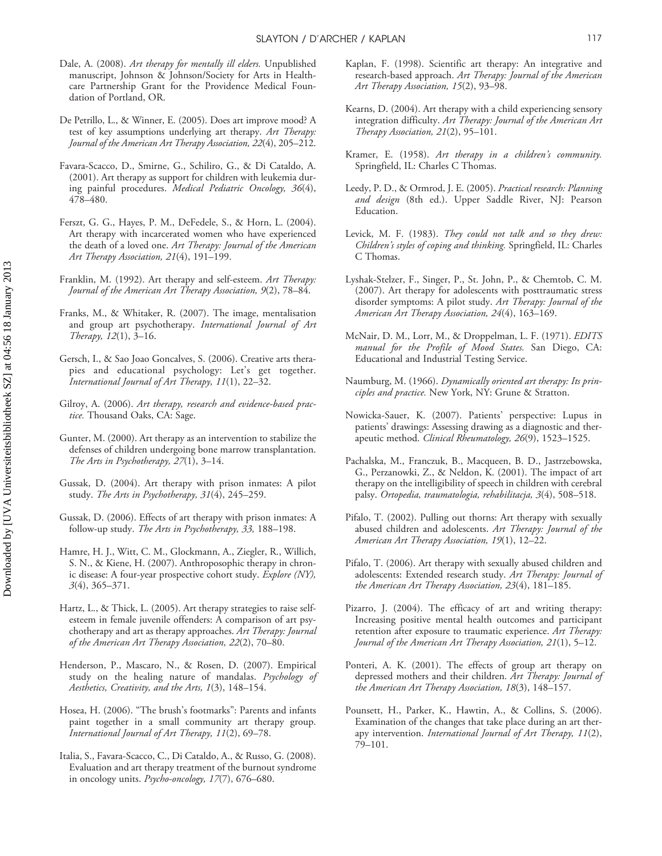- Dale, A. (2008). *Art therapy for mentally ill elders.* Unpublished manuscript, Johnson & Johnson/Society for Arts in Healthcare Partnership Grant for the Providence Medical Foundation of Portland, OR.
- De Petrillo, L., & Winner, E. (2005). Does art improve mood? A test of key assumptions underlying art therapy. *Art Therapy: Journal of the American Art Therapy Association, 22*(4), 205–212.
- Favara-Scacco, D., Smirne, G., Schiliro, G., & Di Cataldo, A. (2001). Art therapy as support for children with leukemia during painful procedures. *Medical Pediatric Oncology, 36*(4), 478–480.
- Ferszt, G. G., Hayes, P. M., DeFedele, S., & Horn, L. (2004). Art therapy with incarcerated women who have experienced the death of a loved one. *Art Therapy: Journal of the American Art Therapy Association, 21*(4), 191–199.
- Franklin, M. (1992). Art therapy and self-esteem. *Art Therapy: Journal of the American Art Therapy Association, 9*(2), 78–84.
- Franks, M., & Whitaker, R. (2007). The image, mentalisation and group art psychotherapy. *International Journal of Art Therapy, 12*(1), 3–16.
- Gersch, I., & Sao Joao Goncalves, S. (2006). Creative arts therapies and educational psychology: Let's get together. *International Journal of Art Therapy, 11*(1), 22–32.
- Gilroy, A. (2006). *Art therapy, research and evidence-based practice.* Thousand Oaks, CA: Sage.
- Gunter, M. (2000). Art therapy as an intervention to stabilize the defenses of children undergoing bone marrow transplantation. *The Arts in Psychotherapy, 27*(1), 3–14.
- Gussak, D. (2004). Art therapy with prison inmates: A pilot study. *The Arts in Psychotherapy, 31*(4), 245–259.
- Gussak, D. (2006). Effects of art therapy with prison inmates: A follow-up study. *The Arts in Psychotherapy, 33,* 188–198.
- Hamre, H. J., Witt, C. M., Glockmann, A., Ziegler, R., Willich, S. N., & Kiene, H. (2007). Anthroposophic therapy in chronic disease: A four-year prospective cohort study. *Explore (NY), 3*(4), 365–371.
- Hartz, L., & Thick, L. (2005). Art therapy strategies to raise selfesteem in female juvenile offenders: A comparison of art psychotherapy and art as therapy approaches. *Art Therapy: Journal of the American Art Therapy Association, 22*(2), 70–80.
- Henderson, P., Mascaro, N., & Rosen, D. (2007). Empirical study on the healing nature of mandalas. *Psychology of Aesthetics, Creativity, and the Arts, 1*(3), 148–154.
- Hosea, H. (2006). "The brush's footmarks": Parents and infants paint together in a small community art therapy group. *International Journal of Art Therapy, 11*(2), 69–78.
- Italia, S., Favara-Scacco, C., Di Cataldo, A., & Russo, G. (2008). Evaluation and art therapy treatment of the burnout syndrome in oncology units. *Psycho-oncology, 17*(7), 676–680.
- Kaplan, F. (1998). Scientific art therapy: An integrative and research-based approach. *Art Therapy: Journal of the American Art Therapy Association, 15*(2), 93–98.
- Kearns, D. (2004). Art therapy with a child experiencing sensory integration difficulty. *Art Therapy: Journal of the American Art Therapy Association, 21*(2), 95–101.
- Kramer, E. (1958). *Art therapy in a children's community.* Springfield, IL: Charles C Thomas.
- Leedy, P. D., & Ormrod, J. E. (2005). *Practical research: Planning and design* (8th ed.). Upper Saddle River, NJ: Pearson Education.
- Levick, M. F. (1983). *They could not talk and so they drew: Children's styles of coping and thinking.* Springfield, IL: Charles C Thomas.
- Lyshak-Stelzer, F., Singer, P., St. John, P., & Chemtob, C. M. (2007). Art therapy for adolescents with posttraumatic stress disorder symptoms: A pilot study. *Art Therapy: Journal of the American Art Therapy Association, 24*(4), 163–169.
- McNair, D. M., Lorr, M., & Droppelman, L. F. (1971). *EDITS manual for the Profile of Mood States.* San Diego, CA: Educational and Industrial Testing Service.
- Naumburg, M. (1966). *Dynamically oriented art therapy: Its principles and practice.* New York, NY: Grune & Stratton.
- Nowicka-Sauer, K. (2007). Patients' perspective: Lupus in patients' drawings: Assessing drawing as a diagnostic and therapeutic method. *Clinical Rheumatology, 26*(9), 1523–1525.
- Pachalska, M., Franczuk, B., Macqueen, B. D., Jastrzebowska, G., Perzanowki, Z., & Neldon, K. (2001). The impact of art therapy on the intelligibility of speech in children with cerebral palsy. *Ortopedia, traumatologia, rehabilitacja, 3*(4), 508–518.
- Pifalo, T. (2002). Pulling out thorns: Art therapy with sexually abused children and adolescents. *Art Therapy: Journal of the American Art Therapy Association, 19*(1), 12–22.
- Pifalo, T. (2006). Art therapy with sexually abused children and adolescents: Extended research study. *Art Therapy: Journal of the American Art Therapy Association, 23*(4), 181–185.
- Pizarro, J. (2004). The efficacy of art and writing therapy: Increasing positive mental health outcomes and participant retention after exposure to traumatic experience. *Art Therapy: Journal of the American Art Therapy Association, 21*(1), 5–12.
- Ponteri, A. K. (2001). The effects of group art therapy on depressed mothers and their children. *Art Therapy: Journal of the American Art Therapy Association, 18*(3), 148–157.
- Pounsett, H., Parker, K., Hawtin, A., & Collins, S. (2006). Examination of the changes that take place during an art therapy intervention. *International Journal of Art Therapy, 11*(2), 79–101.